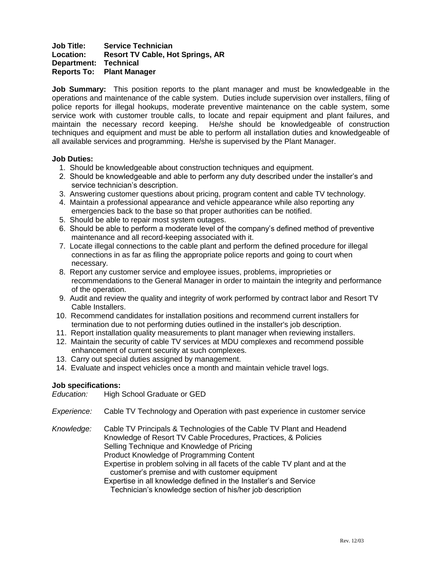# **Job Title: Service Technician Location: Resort TV Cable, Hot Springs, AR Department: Technical Reports To: Plant Manager**

**Job Summary:** This position reports to the plant manager and must be knowledgeable in the operations and maintenance of the cable system. Duties include supervision over installers, filing of police reports for illegal hookups, moderate preventive maintenance on the cable system, some service work with customer trouble calls, to locate and repair equipment and plant failures, and maintain the necessary record keeping. He/she should be knowledgeable of construction techniques and equipment and must be able to perform all installation duties and knowledgeable of all available services and programming. He/she is supervised by the Plant Manager.

# **Job Duties:**

- 1. Should be knowledgeable about construction techniques and equipment.
- 2. Should be knowledgeable and able to perform any duty described under the installer's and service technician's description.
- 3. Answering customer questions about pricing, program content and cable TV technology.
- 4. Maintain a professional appearance and vehicle appearance while also reporting any emergencies back to the base so that proper authorities can be notified.
- 5. Should be able to repair most system outages.
- 6. Should be able to perform a moderate level of the company's defined method of preventive maintenance and all record-keeping associated with it.
- 7. Locate illegal connections to the cable plant and perform the defined procedure for illegal connections in as far as filing the appropriate police reports and going to court when necessary.
- 8. Report any customer service and employee issues, problems, improprieties or recommendations to the General Manager in order to maintain the integrity and performance of the operation.
- 9. Audit and review the quality and integrity of work performed by contract labor and Resort TV Cable Installers.
- 10. Recommend candidates for installation positions and recommend current installers for termination due to not performing duties outlined in the installer's job description.
- 11. Report installation quality measurements to plant manager when reviewing installers.
- 12. Maintain the security of cable TV services at MDU complexes and recommend possible enhancement of current security at such complexes.
- 13. Carry out special duties assigned by management.
- 14. Evaluate and inspect vehicles once a month and maintain vehicle travel logs.

# **Job specifications:**

*Education:* High School Graduate or GED

- *Experience:* Cable TV Technology and Operation with past experience in customer service
- *Knowledge:* Cable TV Principals & Technologies of the Cable TV Plant and Headend Knowledge of Resort TV Cable Procedures, Practices, & Policies Selling Technique and Knowledge of Pricing Product Knowledge of Programming Content Expertise in problem solving in all facets of the cable TV plant and at the

customer's premise and with customer equipment

Expertise in all knowledge defined in the Installer's and Service

Technician's knowledge section of his/her job description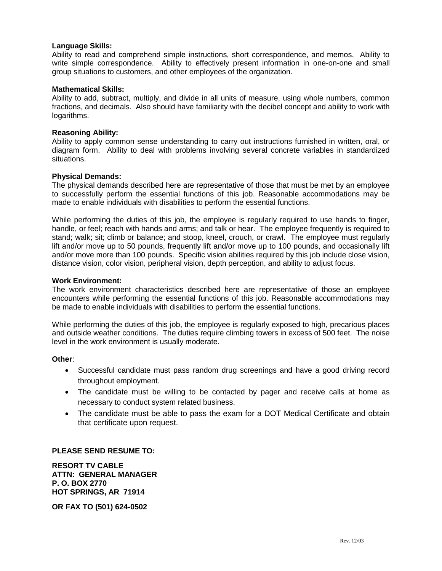## **Language Skills:**

Ability to read and comprehend simple instructions, short correspondence, and memos. Ability to write simple correspondence. Ability to effectively present information in one-on-one and small group situations to customers, and other employees of the organization.

## **Mathematical Skills:**

Ability to add, subtract, multiply, and divide in all units of measure, using whole numbers, common fractions, and decimals. Also should have familiarity with the decibel concept and ability to work with logarithms.

#### **Reasoning Ability:**

Ability to apply common sense understanding to carry out instructions furnished in written, oral, or diagram form. Ability to deal with problems involving several concrete variables in standardized situations.

#### **Physical Demands:**

The physical demands described here are representative of those that must be met by an employee to successfully perform the essential functions of this job. Reasonable accommodations may be made to enable individuals with disabilities to perform the essential functions.

While performing the duties of this job, the employee is regularly required to use hands to finger, handle, or feel; reach with hands and arms; and talk or hear. The employee frequently is required to stand; walk; sit; climb or balance; and stoop, kneel, crouch, or crawl. The employee must regularly lift and/or move up to 50 pounds, frequently lift and/or move up to 100 pounds, and occasionally lift and/or move more than 100 pounds. Specific vision abilities required by this job include close vision, distance vision, color vision, peripheral vision, depth perception, and ability to adjust focus.

#### **Work Environment:**

The work environment characteristics described here are representative of those an employee encounters while performing the essential functions of this job. Reasonable accommodations may be made to enable individuals with disabilities to perform the essential functions.

While performing the duties of this job, the employee is regularly exposed to high, precarious places and outside weather conditions. The duties require climbing towers in excess of 500 feet. The noise level in the work environment is usually moderate.

#### **Other**:

- Successful candidate must pass random drug screenings and have a good driving record throughout employment.
- The candidate must be willing to be contacted by pager and receive calls at home as necessary to conduct system related business.
- The candidate must be able to pass the exam for a DOT Medical Certificate and obtain that certificate upon request.

#### **PLEASE SEND RESUME TO:**

**RESORT TV CABLE ATTN: GENERAL MANAGER P. O. BOX 2770 HOT SPRINGS, AR 71914**

**OR FAX TO (501) 624-0502**